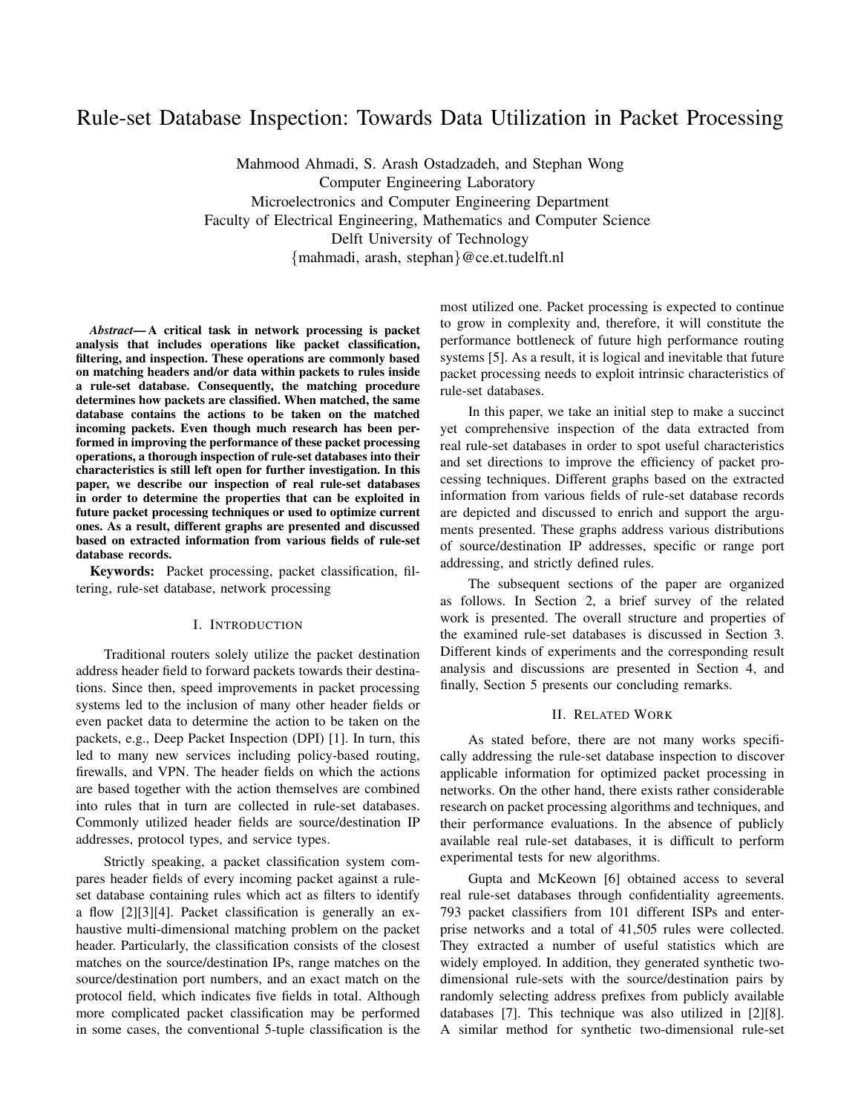# Rule-set Database Inspection: Towards Data Utilization in Packet Processing

Mahmood Ahmadi, S. Arash Ostadzadeh, and Stephan Wong Computer Engineering Laboratory Microelectronics and Computer Engineering Department Faculty of Electrical Engineering, Mathematics and Computer Science Delft University of Technology {mahmadi, arash, stephan}@ce.et.tudelft.nl

*Abstract*— A critical task in network processing is packet analysis that includes operations like packet classification, filtering, and inspection. These operations are commonly based on matching headers and/or data within packets to rules inside a rule-set database. Consequently, the matching procedure determines how packets are classified. When matched, the same database contains the actions to be taken on the matched incoming packets. Even though much research has been performed in improving the performance of these packet processing operations, a thorough inspection of rule-set databases into their characteristics is still left open for further investigation. In this paper, we describe our inspection of real rule-set databases in order to determine the properties that can be exploited in future packet processing techniques or used to optimize current ones. As a result, different graphs are presented and discussed based on extracted information from various fields of rule-set database records.

Keywords: Packet processing, packet classification, filtering, rule-set database, network processing

#### I. INTRODUCTION

Traditional routers solely utilize the packet destination address header field to forward packets towards their destinations. Since then, speed improvements in packet processing systems led to the inclusion of many other header fields or even packet data to determine the action to be taken on the packets, e.g., Deep Packet Inspection (DPI) [1]. In turn, this led to many new services including policy-based routing, firewalls, and VPN. The header fields on which the actions are based together with the action themselves are combined into rules that in turn are collected in rule-set databases. Commonly utilized header fields are source/destination IP addresses, protocol types, and service types.

Strictly speaking, a packet classification system compares header fields of every incoming packet against a ruleset database containing rules which act as filters to identify a flow [2][3][4]. Packet classification is generally an exhaustive multi-dimensional matching problem on the packet header. Particularly, the classification consists of the closest matches on the source/destination IPs, range matches on the source/destination port numbers, and an exact match on the protocol field, which indicates five fields in total. Although more complicated packet classification may be performed in some cases, the conventional 5-tuple classification is the most utilized one. Packet processing is expected to continue to grow in complexity and, therefore, it will constitute the performance bottleneck of future high performance routing systems [5]. As a result, it is logical and inevitable that future packet processing needs to exploit intrinsic characteristics of rule-set databases.

In this paper, we take an initial step to make a succinct yet comprehensive inspection of the data extracted from real rule-set databases in order to spot useful characteristics and set directions to improve the efficiency of packet processing techniques. Different graphs based on the extracted information from various fields of rule-set database records are depicted and discussed to enrich and support the arguments presented. These graphs address various distributions of source/destination IP addresses, specific or range port addressing, and strictly defined rules.

The subsequent sections of the paper are organized as follows. In Section 2, a brief survey of the related work is presented. The overall structure and properties of the examined rule-set databases is discussed in Section 3. Different kinds of experiments and the corresponding result analysis and discussions are presented in Section 4, and finally, Section 5 presents our concluding remarks.

#### II. RELATED WORK

As stated before, there are not many works specifically addressing the rule-set database inspection to discover applicable information for optimized packet processing in networks. On the other hand, there exists rather considerable research on packet processing algorithms and techniques, and their performance evaluations. In the absence of publicly available real rule-set databases, it is difficult to perform experimental tests for new algorithms.

Gupta and McKeown [6] obtained access to several real rule-set databases through confidentiality agreements. 793 packet classifiers from 101 different ISPs and enterprise networks and a total of 41,505 rules were collected. They extracted a number of useful statistics which are widely employed. In addition, they generated synthetic twodimensional rule-sets with the source/destination pairs by randomly selecting address prefixes from publicly available databases [7]. This technique was also utilized in [2][8]. A similar method for synthetic two-dimensional rule-set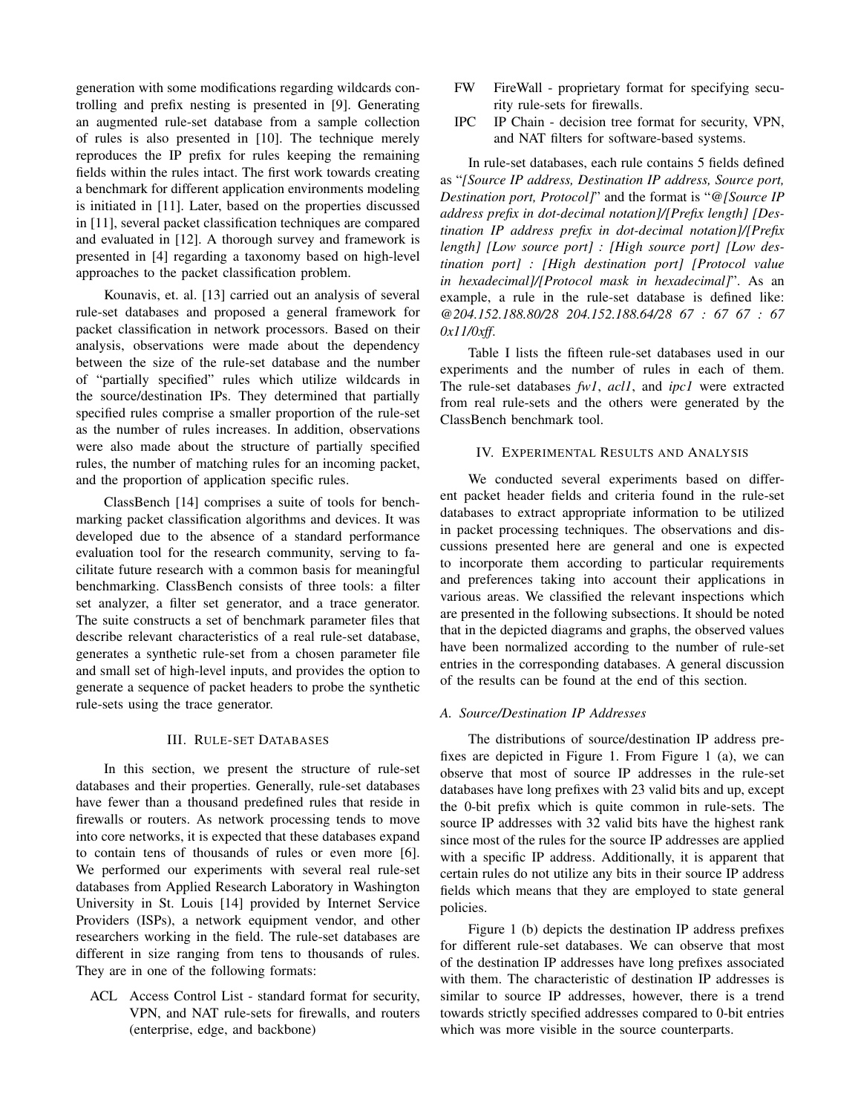generation with some modifications regarding wildcards controlling and prefix nesting is presented in [9]. Generating an augmented rule-set database from a sample collection of rules is also presented in [10]. The technique merely reproduces the IP prefix for rules keeping the remaining fields within the rules intact. The first work towards creating a benchmark for different application environments modeling is initiated in [11]. Later, based on the properties discussed in [11], several packet classification techniques are compared and evaluated in [12]. A thorough survey and framework is presented in [4] regarding a taxonomy based on high-level approaches to the packet classification problem.

Kounavis, et. al. [13] carried out an analysis of several rule-set databases and proposed a general framework for packet classification in network processors. Based on their analysis, observations were made about the dependency between the size of the rule-set database and the number of "partially specified" rules which utilize wildcards in the source/destination IPs. They determined that partially specified rules comprise a smaller proportion of the rule-set as the number of rules increases. In addition, observations were also made about the structure of partially specified rules, the number of matching rules for an incoming packet, and the proportion of application specific rules.

ClassBench [14] comprises a suite of tools for benchmarking packet classification algorithms and devices. It was developed due to the absence of a standard performance evaluation tool for the research community, serving to facilitate future research with a common basis for meaningful benchmarking. ClassBench consists of three tools: a filter set analyzer, a filter set generator, and a trace generator. The suite constructs a set of benchmark parameter files that describe relevant characteristics of a real rule-set database, generates a synthetic rule-set from a chosen parameter file and small set of high-level inputs, and provides the option to generate a sequence of packet headers to probe the synthetic rule-sets using the trace generator.

### III. RULE-SET DATABASES

In this section, we present the structure of rule-set databases and their properties. Generally, rule-set databases have fewer than a thousand predefined rules that reside in firewalls or routers. As network processing tends to move into core networks, it is expected that these databases expand to contain tens of thousands of rules or even more [6]. We performed our experiments with several real rule-set databases from Applied Research Laboratory in Washington University in St. Louis [14] provided by Internet Service Providers (ISPs), a network equipment vendor, and other researchers working in the field. The rule-set databases are different in size ranging from tens to thousands of rules. They are in one of the following formats:

ACL Access Control List - standard format for security, VPN, and NAT rule-sets for firewalls, and routers (enterprise, edge, and backbone)

- FW FireWall proprietary format for specifying security rule-sets for firewalls.
- IPC IP Chain decision tree format for security, VPN, and NAT filters for software-based systems.

In rule-set databases, each rule contains 5 fields defined as "*[Source IP address, Destination IP address, Source port, Destination port, Protocol]*" and the format is "*@[Source IP address prefix in dot-decimal notation]/[Prefix length] [Destination IP address prefix in dot-decimal notation]/[Prefix length] [Low source port] : [High source port] [Low destination port] : [High destination port] [Protocol value in hexadecimal]/[Protocol mask in hexadecimal]*". As an example, a rule in the rule-set database is defined like: *@204.152.188.80/28 204.152.188.64/28 67 : 67 67 : 67 0x11/0xff*.

Table I lists the fifteen rule-set databases used in our experiments and the number of rules in each of them. The rule-set databases *fw1*, *acl1*, and *ipc1* were extracted from real rule-sets and the others were generated by the ClassBench benchmark tool.

#### IV. EXPERIMENTAL RESULTS AND ANALYSIS

We conducted several experiments based on different packet header fields and criteria found in the rule-set databases to extract appropriate information to be utilized in packet processing techniques. The observations and discussions presented here are general and one is expected to incorporate them according to particular requirements and preferences taking into account their applications in various areas. We classified the relevant inspections which are presented in the following subsections. It should be noted that in the depicted diagrams and graphs, the observed values have been normalized according to the number of rule-set entries in the corresponding databases. A general discussion of the results can be found at the end of this section.

## *A. Source/Destination IP Addresses*

The distributions of source/destination IP address prefixes are depicted in Figure 1. From Figure 1 (a), we can observe that most of source IP addresses in the rule-set databases have long prefixes with 23 valid bits and up, except the 0-bit prefix which is quite common in rule-sets. The source IP addresses with 32 valid bits have the highest rank since most of the rules for the source IP addresses are applied with a specific IP address. Additionally, it is apparent that certain rules do not utilize any bits in their source IP address fields which means that they are employed to state general policies.

Figure 1 (b) depicts the destination IP address prefixes for different rule-set databases. We can observe that most of the destination IP addresses have long prefixes associated with them. The characteristic of destination IP addresses is similar to source IP addresses, however, there is a trend towards strictly specified addresses compared to 0-bit entries which was more visible in the source counterparts.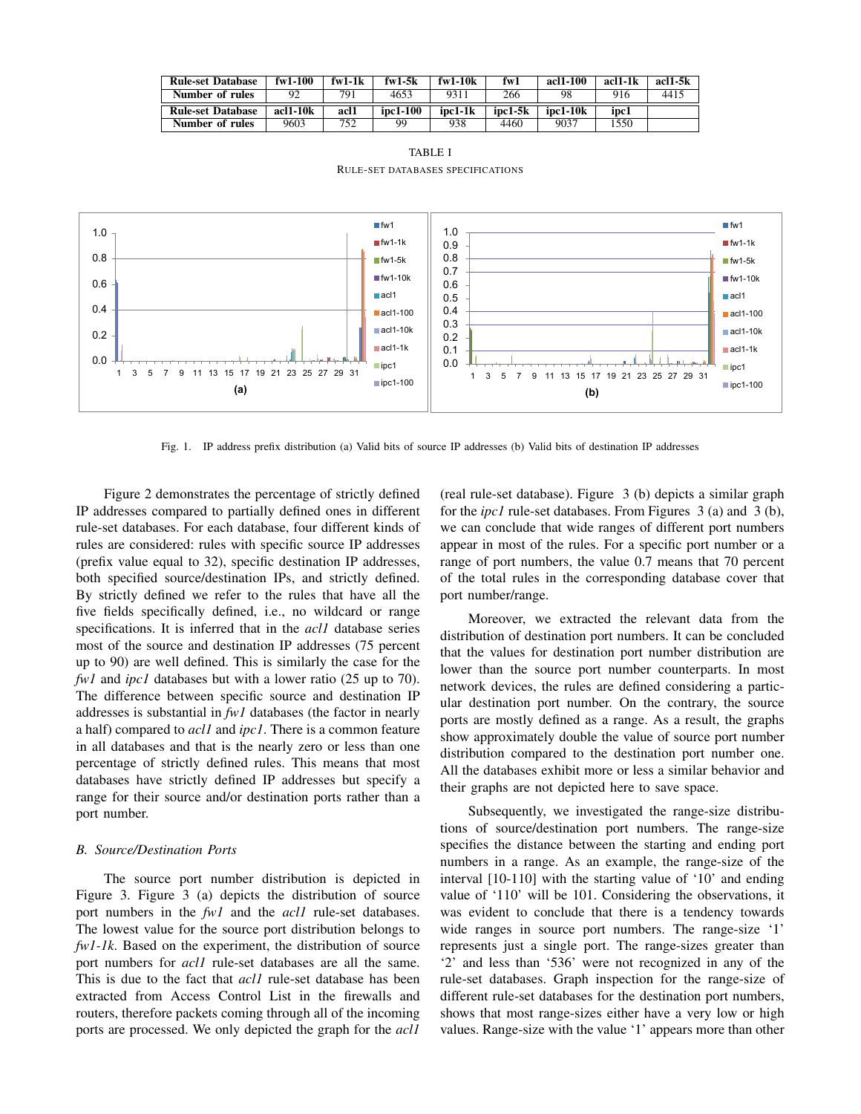| <b>Rule-set Database</b> | $f_{\rm W}$ 1-100 | $fwl-1k$ | $fwl-5k$ | $f_{\rm W}$ 1-10 $k$ | $f_{\rm W}1$ | acl1-100 | acl1-1k | acl1-5k |
|--------------------------|-------------------|----------|----------|----------------------|--------------|----------|---------|---------|
| Number of rules          |                   | 791      | 4653     | 9311                 | 266          | 98       | 916     | 4415    |
|                          |                   |          |          |                      |              |          |         |         |
| <b>Rule-set Database</b> | acl1-10k          | acl1     | ipc1-100 | ipc1-1k              | ipc1-5k      | ipc1-10k | ipc1    |         |

TABLE I RULE-SET DATABASES SPECIFICATIONS



Fig. 1. IP address prefix distribution (a) Valid bits of source IP addresses (b) Valid bits of destination IP addresses

Figure 2 demonstrates the percentage of strictly defined IP addresses compared to partially defined ones in different rule-set databases. For each database, four different kinds of rules are considered: rules with specific source IP addresses (prefix value equal to 32), specific destination IP addresses, both specified source/destination IPs, and strictly defined. By strictly defined we refer to the rules that have all the five fields specifically defined, i.e., no wildcard or range specifications. It is inferred that in the *acl1* database series most of the source and destination IP addresses (75 percent up to 90) are well defined. This is similarly the case for the *fw1* and *ipc1* databases but with a lower ratio (25 up to 70). The difference between specific source and destination IP addresses is substantial in *fw1* databases (the factor in nearly a half) compared to *acl1* and *ipc1*. There is a common feature in all databases and that is the nearly zero or less than one percentage of strictly defined rules. This means that most databases have strictly defined IP addresses but specify a range for their source and/or destination ports rather than a port number.

## *B. Source/Destination Ports*

The source port number distribution is depicted in Figure 3. Figure 3 (a) depicts the distribution of source port numbers in the *fw1* and the *acl1* rule-set databases. The lowest value for the source port distribution belongs to *fw1-1k*. Based on the experiment, the distribution of source port numbers for *acl1* rule-set databases are all the same. This is due to the fact that *acl1* rule-set database has been extracted from Access Control List in the firewalls and routers, therefore packets coming through all of the incoming ports are processed. We only depicted the graph for the *acl1*

(real rule-set database). Figure 3 (b) depicts a similar graph for the *ipc1* rule-set databases. From Figures 3 (a) and 3 (b), we can conclude that wide ranges of different port numbers appear in most of the rules. For a specific port number or a range of port numbers, the value 0.7 means that 70 percent of the total rules in the corresponding database cover that port number/range.

Moreover, we extracted the relevant data from the distribution of destination port numbers. It can be concluded that the values for destination port number distribution are lower than the source port number counterparts. In most network devices, the rules are defined considering a particular destination port number. On the contrary, the source ports are mostly defined as a range. As a result, the graphs show approximately double the value of source port number distribution compared to the destination port number one. All the databases exhibit more or less a similar behavior and their graphs are not depicted here to save space.

Subsequently, we investigated the range-size distributions of source/destination port numbers. The range-size specifies the distance between the starting and ending port numbers in a range. As an example, the range-size of the interval [10-110] with the starting value of '10' and ending value of '110' will be 101. Considering the observations, it was evident to conclude that there is a tendency towards wide ranges in source port numbers. The range-size '1' represents just a single port. The range-sizes greater than '2' and less than '536' were not recognized in any of the rule-set databases. Graph inspection for the range-size of different rule-set databases for the destination port numbers, shows that most range-sizes either have a very low or high values. Range-size with the value '1' appears more than other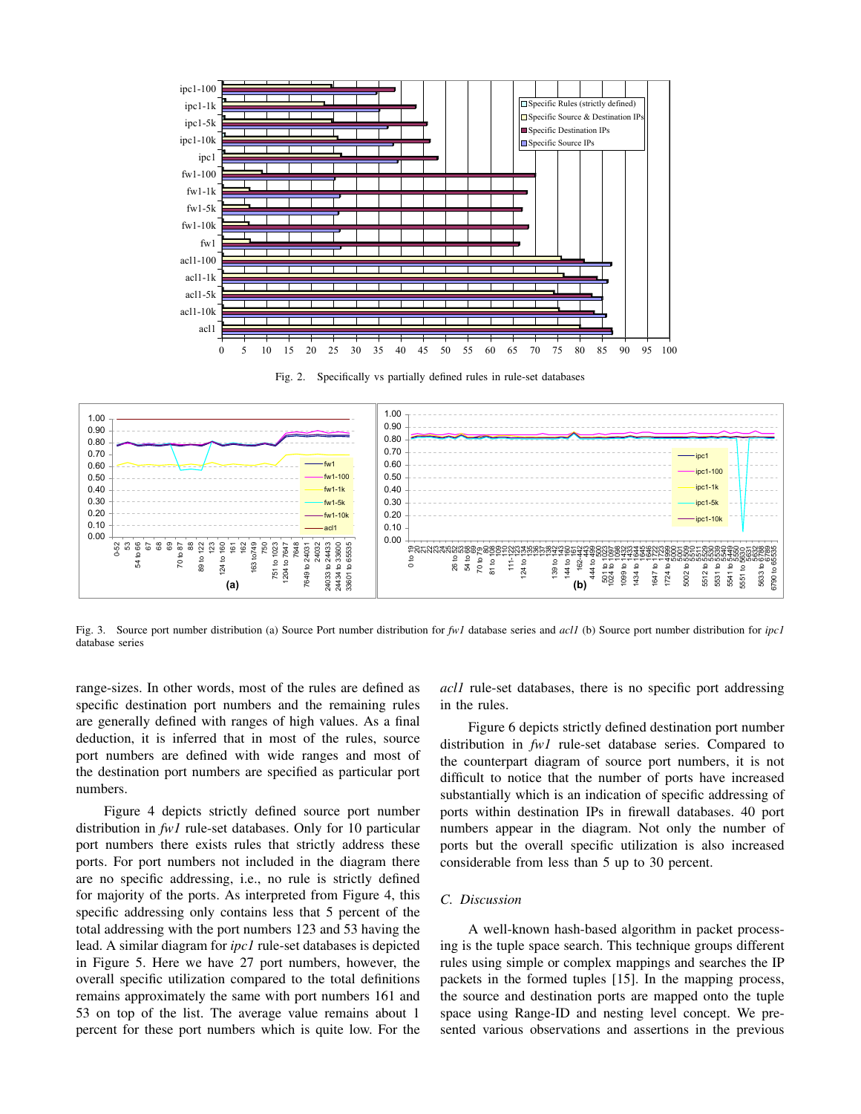

Fig. 2. Specifically vs partially defined rules in rule-set databases



Fig. 3. Source port number distribution (a) Source Port number distribution for *fw1* database series and *acl1* (b) Source port number distribution for *ipc1* database series

range-sizes. In other words, most of the rules are defined as specific destination port numbers and the remaining rules are generally defined with ranges of high values. As a final deduction, it is inferred that in most of the rules, source port numbers are defined with wide ranges and most of the destination port numbers are specified as particular port numbers.

Figure 4 depicts strictly defined source port number distribution in *fw1* rule-set databases. Only for 10 particular port numbers there exists rules that strictly address these ports. For port numbers not included in the diagram there are no specific addressing, i.e., no rule is strictly defined for majority of the ports. As interpreted from Figure 4, this specific addressing only contains less that 5 percent of the total addressing with the port numbers 123 and 53 having the lead. A similar diagram for *ipc1* rule-set databases is depicted in Figure 5. Here we have 27 port numbers, however, the overall specific utilization compared to the total definitions remains approximately the same with port numbers 161 and 53 on top of the list. The average value remains about 1 percent for these port numbers which is quite low. For the

*acl1* rule-set databases, there is no specific port addressing in the rules.

Figure 6 depicts strictly defined destination port number distribution in *fw1* rule-set database series. Compared to the counterpart diagram of source port numbers, it is not difficult to notice that the number of ports have increased substantially which is an indication of specific addressing of ports within destination IPs in firewall databases. 40 port numbers appear in the diagram. Not only the number of ports but the overall specific utilization is also increased considerable from less than 5 up to 30 percent.

## *C. Discussion*

A well-known hash-based algorithm in packet processing is the tuple space search. This technique groups different rules using simple or complex mappings and searches the IP packets in the formed tuples [15]. In the mapping process, the source and destination ports are mapped onto the tuple space using Range-ID and nesting level concept. We presented various observations and assertions in the previous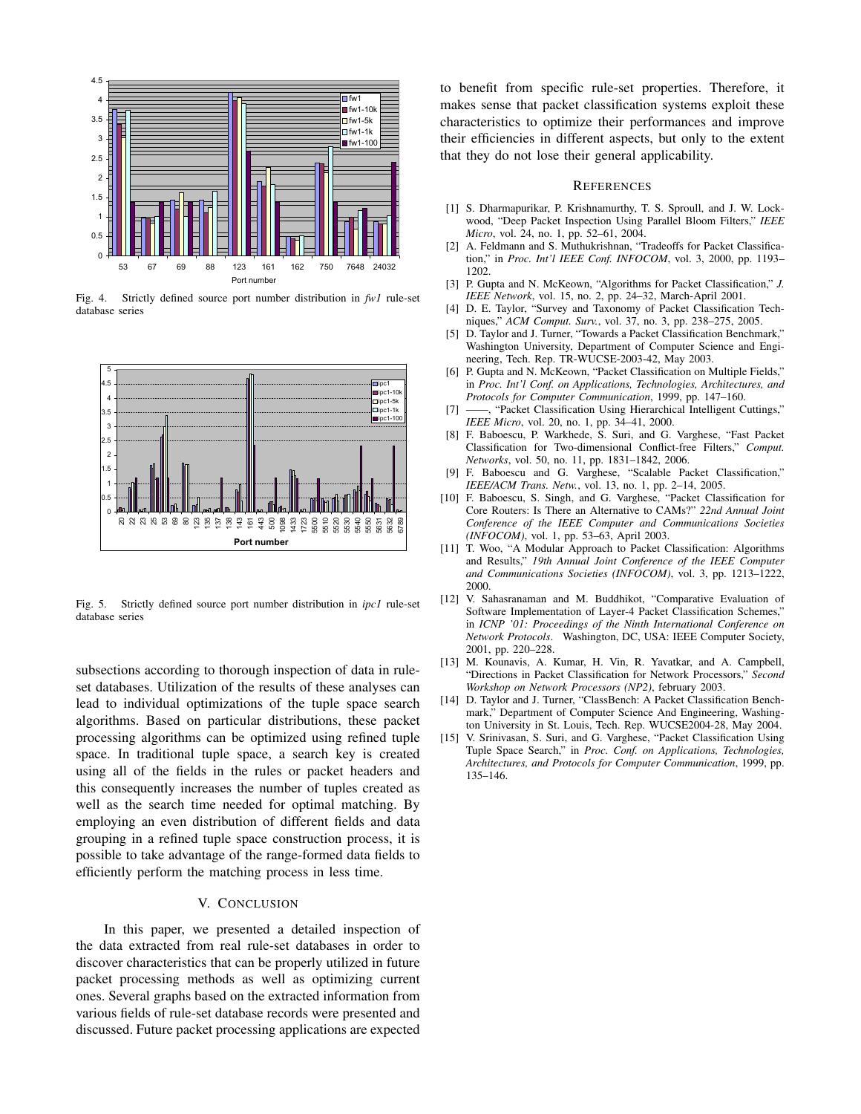

Fig. 4. Strictly defined source port number distribution in *fw1* rule-set database series



Fig. 5. Strictly defined source port number distribution in *ipc1* rule-set database series

subsections according to thorough inspection of data in ruleset databases. Utilization of the results of these analyses can lead to individual optimizations of the tuple space search algorithms. Based on particular distributions, these packet processing algorithms can be optimized using refined tuple space. In traditional tuple space, a search key is created using all of the fields in the rules or packet headers and this consequently increases the number of tuples created as well as the search time needed for optimal matching. By employing an even distribution of different fields and data grouping in a refined tuple space construction process, it is possible to take advantage of the range-formed data fields to efficiently perform the matching process in less time.

## V. CONCLUSION

In this paper, we presented a detailed inspection of the data extracted from real rule-set databases in order to discover characteristics that can be properly utilized in future packet processing methods as well as optimizing current ones. Several graphs based on the extracted information from various fields of rule-set database records were presented and discussed. Future packet processing applications are expected to benefit from specific rule-set properties. Therefore, it makes sense that packet classification systems exploit these characteristics to optimize their performances and improve their efficiencies in different aspects, but only to the extent that they do not lose their general applicability.

#### **REFERENCES**

- [1] S. Dharmapurikar, P. Krishnamurthy, T. S. Sproull, and J. W. Lockwood, "Deep Packet Inspection Using Parallel Bloom Filters," *IEEE Micro*, vol. 24, no. 1, pp. 52–61, 2004.
- [2] A. Feldmann and S. Muthukrishnan, "Tradeoffs for Packet Classification," in *Proc. Int'l IEEE Conf. INFOCOM*, vol. 3, 2000, pp. 1193– 1202.
- [3] P. Gupta and N. McKeown, "Algorithms for Packet Classification," *J. IEEE Network*, vol. 15, no. 2, pp. 24–32, March-April 2001.
- [4] D. E. Taylor, "Survey and Taxonomy of Packet Classification Techniques," *ACM Comput. Surv.*, vol. 37, no. 3, pp. 238–275, 2005.
- [5] D. Taylor and J. Turner, "Towards a Packet Classification Benchmark," Washington University, Department of Computer Science and Engineering, Tech. Rep. TR-WUCSE-2003-42, May 2003.
- [6] P. Gupta and N. McKeown, "Packet Classification on Multiple Fields," in *Proc. Int'l Conf. on Applications, Technologies, Architectures, and Protocols for Computer Communication*, 1999, pp. 147–160.
- [7] ——, "Packet Classification Using Hierarchical Intelligent Cuttings," *IEEE Micro*, vol. 20, no. 1, pp. 34–41, 2000.
- [8] F. Baboescu, P. Warkhede, S. Suri, and G. Varghese, "Fast Packet Classification for Two-dimensional Conflict-free Filters," *Comput. Networks*, vol. 50, no. 11, pp. 1831–1842, 2006.
- [9] F. Baboescu and G. Varghese, "Scalable Packet Classification," *IEEE/ACM Trans. Netw.*, vol. 13, no. 1, pp. 2–14, 2005.
- [10] F. Baboescu, S. Singh, and G. Varghese, "Packet Classification for Core Routers: Is There an Alternative to CAMs?" *22nd Annual Joint Conference of the IEEE Computer and Communications Societies (INFOCOM)*, vol. 1, pp. 53–63, April 2003.
- [11] T. Woo, "A Modular Approach to Packet Classification: Algorithms and Results," *19th Annual Joint Conference of the IEEE Computer and Communications Societies (INFOCOM)*, vol. 3, pp. 1213–1222, 2000.
- [12] V. Sahasranaman and M. Buddhikot, "Comparative Evaluation of Software Implementation of Layer-4 Packet Classification Schemes," in *ICNP '01: Proceedings of the Ninth International Conference on Network Protocols*. Washington, DC, USA: IEEE Computer Society, 2001, pp. 220–228.
- [13] M. Kounavis, A. Kumar, H. Vin, R. Yavatkar, and A. Campbell, "Directions in Packet Classification for Network Processors," *Second Workshop on Network Processors (NP2)*, february 2003.
- [14] D. Taylor and J. Turner, "ClassBench: A Packet Classification Benchmark," Department of Computer Science And Engineering, Washington University in St. Louis, Tech. Rep. WUCSE2004-28, May 2004.
- [15] V. Srinivasan, S. Suri, and G. Varghese, "Packet Classification Using Tuple Space Search," in *Proc. Conf. on Applications, Technologies, Architectures, and Protocols for Computer Communication*, 1999, pp. 135–146.